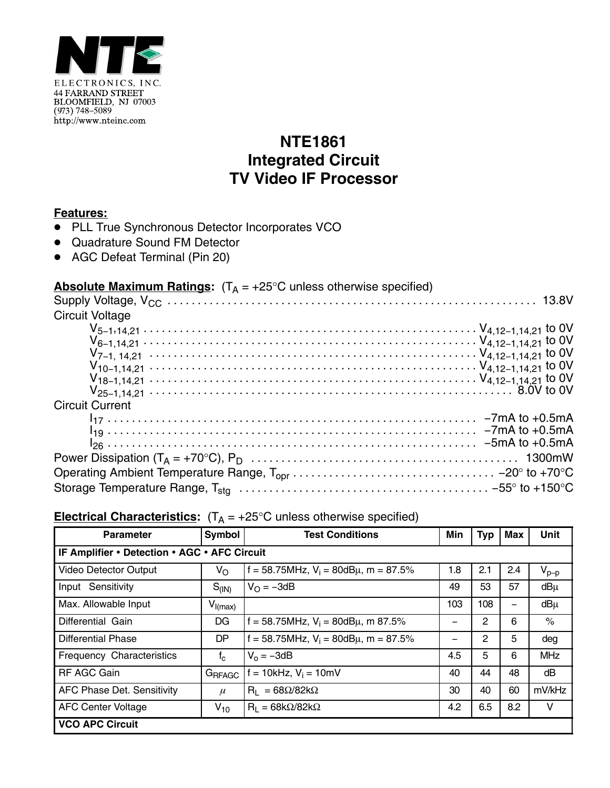

## **NTE1861 Integrated Circuit TV Video IF Processor**

## **Features:**

- PLL True Synchronous Detector Incorporates VCO
- Quadrature Sound FM Detector
- AGC Defeat Terminal (Pin 20)

## **Absolute Maximum Ratings:**  $(T_A = +25^{\circ}C$  unless otherwise specified)

| <b>Circuit Voltage</b> |  |
|------------------------|--|
|                        |  |
|                        |  |
|                        |  |
|                        |  |
|                        |  |
|                        |  |
| <b>Circuit Current</b> |  |
|                        |  |
|                        |  |
|                        |  |
|                        |  |
|                        |  |
|                        |  |

| <b>Parameter</b>                             | <b>Symbol</b> | <b>Test Conditions</b>                       | Min | <b>Typ</b> | <b>Max</b> | <b>Unit</b> |  |  |  |
|----------------------------------------------|---------------|----------------------------------------------|-----|------------|------------|-------------|--|--|--|
| IF Amplifier • Detection • AGC • AFC Circuit |               |                                              |     |            |            |             |  |  |  |
| Video Detector Output                        | $V_{\rm O}$   | f = 58.75MHz, $V_i$ = 80dB $\mu$ , m = 87.5% | 1.8 | 2.1        | 2.4        | $V_{p-p}$   |  |  |  |
| Input Sensitivity                            | $S_{(IN)}$    | $V_{\Omega} = -3dB$                          | 49  | 53         | 57         | $dB\mu$     |  |  |  |
| Max. Allowable Input                         | $V_{I(max)}$  |                                              | 103 | 108        |            | $dB\mu$     |  |  |  |
| Differential Gain                            | DG            | f = 58.75MHz, $V_i$ = 80dB $\mu$ , m 87.5%   |     | 2          | 6          | $\%$        |  |  |  |
| <b>Differential Phase</b>                    | DP            | f = 58.75MHz, $V_i$ = 80dB $\mu$ , m = 87.5% |     | 2          | 5          | deg         |  |  |  |
| Frequency Characteristics                    | $f_c$         | $V_0 = -3dB$                                 | 4.5 | 5          | 6          | <b>MHz</b>  |  |  |  |
| <b>RF AGC Gain</b>                           | GRFAGC        | $= 10$ kHz, V <sub>i</sub> = 10mV            | 40  | 44         | 48         | dB          |  |  |  |
| AFC Phase Det. Sensitivity                   | $\mu$         | $R_1 = 68\Omega/82k\Omega$                   | 30  | 40         | 60         | mV/kHz      |  |  |  |
| <b>AFC Center Voltage</b>                    | $V_{10}$      | $R_1 = 68k\Omega/82k\Omega$                  | 4.2 | 6.5        | 8.2        | v           |  |  |  |
| <b>VCO APC Circuit</b>                       |               |                                              |     |            |            |             |  |  |  |

## **Electrical Characteristics:**  $(T_A = +25^\circ C$  unless otherwise specified)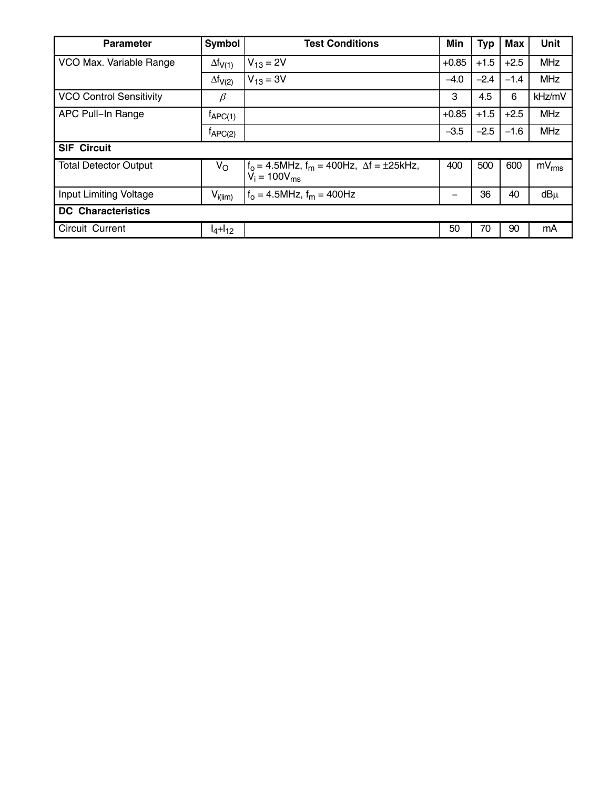| <b>Parameter</b>               | <b>Symbol</b>       | <b>Test Conditions</b>                                                         | Min     | <b>Typ</b> | <b>Max</b> | <b>Unit</b> |  |  |
|--------------------------------|---------------------|--------------------------------------------------------------------------------|---------|------------|------------|-------------|--|--|
| VCO Max. Variable Range        | $\Delta f_{V(1)}$   | $V_{13} = 2V$                                                                  | $+0.85$ | $+1.5$     | $+2.5$     | <b>MHz</b>  |  |  |
|                                | $\Delta f_{V(2)}$   | $V_{13} = 3V$                                                                  | $-4.0$  | $-2.4$     | $-1.4$     | <b>MHz</b>  |  |  |
| <b>VCO Control Sensitivity</b> | $\beta$             |                                                                                | 3       | 4.5        | 6          | kHz/mV      |  |  |
| APC Pull-In Range              | $f_{\text{APC(1)}}$ |                                                                                | $+0.85$ | $+1.5$     | $+2.5$     | <b>MHz</b>  |  |  |
|                                | $t_{\text{APC(2)}}$ |                                                                                | $-3.5$  | $-2.5$     | $-1.6$     | <b>MHz</b>  |  |  |
| <b>SIF Circuit</b>             |                     |                                                                                |         |            |            |             |  |  |
| <b>Total Detector Output</b>   | $V_{\rm O}$         | $f_0 = 4.5$ MHz, $f_m = 400$ Hz, $\Delta f = \pm 25$ kHz,<br>$V_i = 100V_{ms}$ | 400     | 500        | 600        | $mV_{rms}$  |  |  |
| Input Limiting Voltage         | $V_{i(lim)}$        | $f_0 = 4.5$ MHz, $f_m = 400$ Hz                                                |         | 36         | 40         | $dB\mu$     |  |  |
| <b>DC</b> Characteristics      |                     |                                                                                |         |            |            |             |  |  |
| Circuit Current                | $I_4 + I_{12}$      |                                                                                | 50      | 70         | 90         | mA          |  |  |